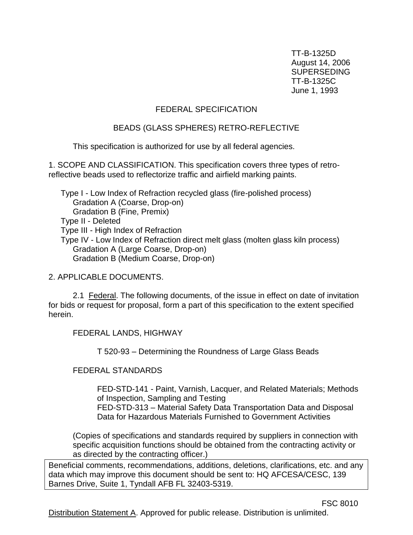TT-B-1325D August 14, 2006 SUPERSEDING TT-B-1325C June 1, 1993

#### FEDERAL SPECIFICATION

#### BEADS (GLASS SPHERES) RETRO-REFLECTIVE

This specification is authorized for use by all federal agencies.

1. SCOPE AND CLASSIFICATION. This specification covers three types of retroreflective beads used to reflectorize traffic and airfield marking paints.

Type I - Low Index of Refraction recycled glass (fire-polished process) Gradation A (Coarse, Drop-on) Gradation B (Fine, Premix) Type II - Deleted Type III - High Index of Refraction Type IV - Low Index of Refraction direct melt glass (molten glass kiln process) Gradation A (Large Coarse, Drop-on) Gradation B (Medium Coarse, Drop-on)

2. APPLICABLE DOCUMENTS.

2.1 Federal. The following documents, of the issue in effect on date of invitation for bids or request for proposal, form a part of this specification to the extent specified herein.

FEDERAL LANDS, HIGHWAY

T 520-93 – Determining the Roundness of Large Glass Beads

FEDERAL STANDARDS

FED-STD-141 - Paint, Varnish, Lacquer, and Related Materials; Methods of Inspection, Sampling and Testing

FED-STD-313 – Material Safety Data Transportation Data and Disposal Data for Hazardous Materials Furnished to Government Activities

(Copies of specifications and standards required by suppliers in connection with specific acquisition functions should be obtained from the contracting activity or as directed by the contracting officer.)

Beneficial comments, recommendations, additions, deletions, clarifications, etc. and any data which may improve this document should be sent to: HQ AFCESA/CESC, 139 Barnes Drive, Suite 1, Tyndall AFB FL 32403-5319.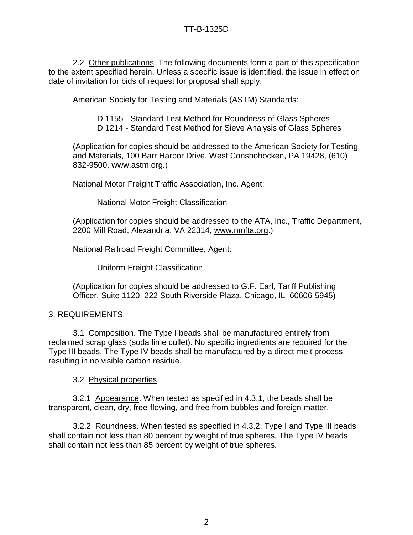2.2 Other publications. The following documents form a part of this specification to the extent specified herein. Unless a specific issue is identified, the issue in effect on date of invitation for bids of request for proposal shall apply.

American Society for Testing and Materials (ASTM) Standards:

D 1155 - Standard Test Method for Roundness of Glass Spheres

D 1214 - Standard Test Method for Sieve Analysis of Glass Spheres

(Application for copies should be addressed to the American Society for Testing and Materials, 100 Barr Harbor Drive, West Conshohocken, PA 19428, (610) 832-9500, [www.astm.org.](http://www.astm.org/))

National Motor Freight Traffic Association, Inc. Agent:

National Motor Freight Classification

(Application for copies should be addressed to the ATA, Inc., Traffic Department, 2200 Mill Road, Alexandria, VA 22314, [www.nmfta.org.](http://www.nmfta.org/))

National Railroad Freight Committee, Agent:

Uniform Freight Classification

(Application for copies should be addressed to G.F. Earl, Tariff Publishing Officer, Suite 1120, 222 South Riverside Plaza, Chicago, IL 60606-5945)

3. REQUIREMENTS.

3.1 Composition. The Type I beads shall be manufactured entirely from reclaimed scrap glass (soda lime cullet). No specific ingredients are required for the Type III beads. The Type IV beads shall be manufactured by a direct-melt process resulting in no visible carbon residue.

3.2 Physical properties.

3.2.1Appearance. When tested as specified in 4.3.1, the beads shall be transparent, clean, dry, free-flowing, and free from bubbles and foreign matter.

3.2.2 Roundness. When tested as specified in 4.3.2, Type I and Type III beads shall contain not less than 80 percent by weight of true spheres. The Type IV beads shall contain not less than 85 percent by weight of true spheres.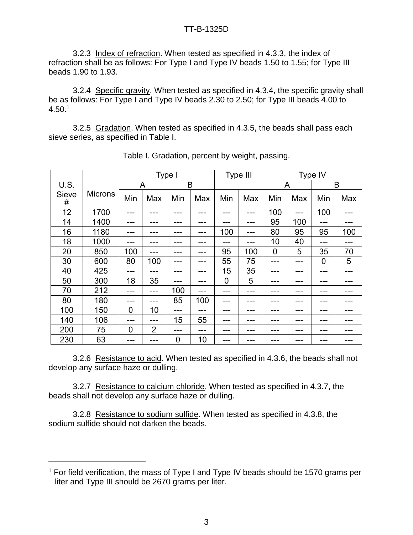3.2.3 Index of refraction. When tested as specified in 4.3.3, the index of refraction shall be as follows: For Type I and Type IV beads 1.50 to 1.55; for Type III beads 1.90 to 1.93.

3.2.4 Specific gravity. When tested as specified in 4.3.4, the specific gravity shall be as follows: For Type I and Type IV beads 2.30 to 2.50; for Type III beads 4.00 to 4.50.<sup>1</sup>

3.2.5 Gradation. When tested as specified in 4.3.5, the beads shall pass each sieve series, as specified in Table I.

|                   |                | Type I         |                |     | Type III |             | Type IV |     |     |             |     |
|-------------------|----------------|----------------|----------------|-----|----------|-------------|---------|-----|-----|-------------|-----|
| U.S.              |                |                | A              |     | B        |             |         |     | A   |             | B   |
| <b>Sieve</b><br># | <b>Microns</b> | Min            | Max            | Min | Max      | Min         | Max     | Min | Max | Min         | Max |
| 12                | 1700           | ---            | ---            | --- | ---      | ---         | ---     | 100 | --- | 100         | --- |
| 14                | 1400           | ---            | ---            | --- | ---      | ---         | ---     | 95  | 100 | ---         | --- |
| 16                | 1180           | ---            | ---            | --  | ---      | 100         | ---     | 80  | 95  | 95          | 100 |
| 18                | 1000           | ---            | ---            | --- | ---      |             | ---     | 10  | 40  | ---         | --- |
| 20                | 850            | 100            | ---            | --- | ---      | 95          | 100     | 0   | 5   | 35          | 70  |
| 30                | 600            | 80             | 100            | --- | ---      | 55          | 75      | --- | --- | $\mathbf 0$ | 5   |
| 40                | 425            | ---            |                | --- | ---      | 15          | 35      | --- | --- | ---         | --- |
| 50                | 300            | 18             | 35             |     | ---      | $\mathbf 0$ | 5       | --- | --- | ---         | --- |
| 70                | 212            | ---            | ---            | 100 | ---      |             | ---     | --- | --- | ---         | --- |
| 80                | 180            | ---            | ---            | 85  | 100      | ---         | ---     | --- | --- | ---         | --- |
| 100               | 150            | $\overline{0}$ | 10             | --- | ---      | ---         | ---     | --- | --- | ---         | --- |
| 140               | 106            | ---            | ---            | 15  | 55       |             | ---     | --- |     | ---         | --- |
| 200               | 75             | $\overline{0}$ | $\overline{2}$ | --- | ---      |             | ---     | --- | --- | ---         | --- |
| 230               | 63             | ---            | ---            | 0   | 10       | ---         | ---     | --- | --- | ---         | --- |

Table I. Gradation, percent by weight, passing.

3.2.6 Resistance to acid. When tested as specified in 4.3.6, the beads shall not develop any surface haze or dulling.

3.2.7 Resistance to calcium chloride. When tested as specified in 4.3.7, the beads shall not develop any surface haze or dulling.

3.2.8 Resistance to sodium sulfide. When tested as specified in 4.3.8, the sodium sulfide should not darken the beads.

 $\overline{a}$ 

<sup>&</sup>lt;sup>1</sup> For field verification, the mass of Type I and Type IV beads should be 1570 grams per liter and Type III should be 2670 grams per liter.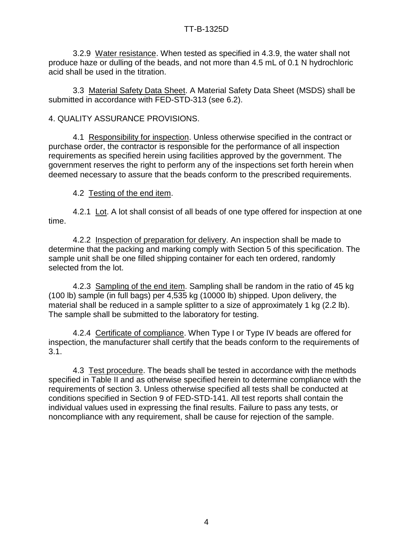3.2.9 Water resistance. When tested as specified in 4.3.9, the water shall not produce haze or dulling of the beads, and not more than 4.5 mL of 0.1 N hydrochloric acid shall be used in the titration.

3.3 Material Safety Data Sheet. A Material Safety Data Sheet (MSDS) shall be submitted in accordance with FED-STD-313 (see 6.2).

# 4. QUALITY ASSURANCE PROVISIONS.

4.1 Responsibility for inspection. Unless otherwise specified in the contract or purchase order, the contractor is responsible for the performance of all inspection requirements as specified herein using facilities approved by the government. The government reserves the right to perform any of the inspections set forth herein when deemed necessary to assure that the beads conform to the prescribed requirements.

# 4.2 Testing of the end item.

4.2.1 Lot. A lot shall consist of all beads of one type offered for inspection at one time.

4.2.2 Inspection of preparation for delivery. An inspection shall be made to determine that the packing and marking comply with Section 5 of this specification. The sample unit shall be one filled shipping container for each ten ordered, randomly selected from the lot.

4.2.3 Sampling of the end item. Sampling shall be random in the ratio of 45 kg (100 lb) sample (in full bags) per 4,535 kg (10000 lb) shipped. Upon delivery, the material shall be reduced in a sample splitter to a size of approximately 1 kg (2.2 lb). The sample shall be submitted to the laboratory for testing.

4.2.4 Certificate of compliance. When Type I or Type IV beads are offered for inspection, the manufacturer shall certify that the beads conform to the requirements of 3.1.

4.3 Test procedure. The beads shall be tested in accordance with the methods specified in Table II and as otherwise specified herein to determine compliance with the requirements of section 3. Unless otherwise specified all tests shall be conducted at conditions specified in Section 9 of FED-STD-141. All test reports shall contain the individual values used in expressing the final results. Failure to pass any tests, or noncompliance with any requirement, shall be cause for rejection of the sample.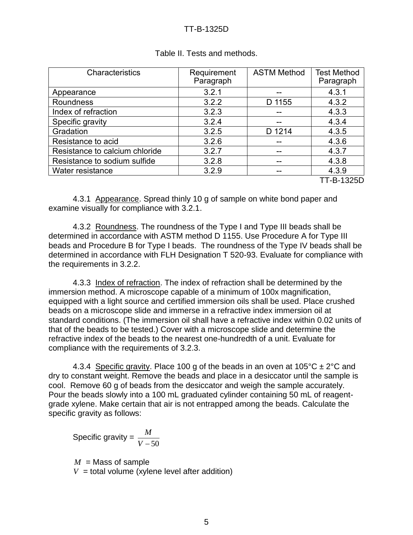| Characteristics                | Requirement<br>Paragraph | <b>ASTM Method</b> | <b>Test Method</b><br>Paragraph |
|--------------------------------|--------------------------|--------------------|---------------------------------|
| Appearance                     | 3.2.1                    |                    | 4.3.1                           |
| Roundness                      | 3.2.2                    | D 1155             | 4.3.2                           |
| Index of refraction            | 3.2.3                    |                    | 4.3.3                           |
| Specific gravity               | 3.2.4                    | --                 | 4.3.4                           |
| Gradation                      | 3.2.5                    | D 1214             | 4.3.5                           |
| Resistance to acid             | 3.2.6                    | --                 | 4.3.6                           |
| Resistance to calcium chloride | 3.2.7                    | --                 | 4.3.7                           |
| Resistance to sodium sulfide   | 3.2.8                    | --                 | 4.3.8                           |
| Water resistance               | 3.2.9                    | --                 | 4.3.9                           |
|                                |                          |                    | TT-B-1325D                      |

## Table II. Tests and methods.

4.3.1 Appearance. Spread thinly 10 g of sample on white bond paper and examine visually for compliance with 3.2.1.

4.3.2 Roundness. The roundness of the Type I and Type III beads shall be determined in accordance with ASTM method D 1155. Use Procedure A for Type III beads and Procedure B for Type I beads. The roundness of the Type IV beads shall be determined in accordance with FLH Designation T 520-93. Evaluate for compliance with the requirements in 3.2.2.

4.3.3 Index of refraction. The index of refraction shall be determined by the immersion method. A microscope capable of a minimum of 100x magnification, equipped with a light source and certified immersion oils shall be used. Place crushed beads on a microscope slide and immerse in a refractive index immersion oil at standard conditions. (The immersion oil shall have a refractive index within 0.02 units of that of the beads to be tested.) Cover with a microscope slide and determine the refractive index of the beads to the nearest one-hundredth of a unit. Evaluate for compliance with the requirements of 3.2.3.

4.3.4 Specific gravity. Place 100 g of the beads in an oven at 105 °C  $\pm$  2 °C and dry to constant weight. Remove the beads and place in a desiccator until the sample is cool. Remove 60 g of beads from the desiccator and weigh the sample accurately. Pour the beads slowly into a 100 mL graduated cylinder containing 50 mL of reagentgrade xylene. Make certain that air is not entrapped among the beads. Calculate the specific gravity as follows:

Specific gravity =  $V - 50$ *M*

*M* = Mass of sample  $V =$  total volume (xylene level after addition)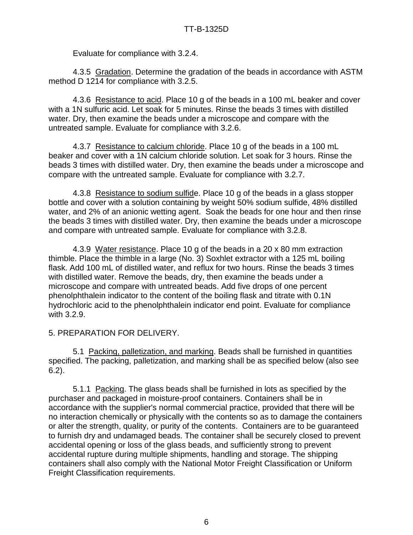Evaluate for compliance with 3.2.4.

4.3.5 Gradation. Determine the gradation of the beads in accordance with ASTM method D 1214 for compliance with 3.2.5.

4.3.6 Resistance to acid. Place 10 g of the beads in a 100 mL beaker and cover with a 1N sulfuric acid. Let soak for 5 minutes. Rinse the beads 3 times with distilled water. Dry, then examine the beads under a microscope and compare with the untreated sample. Evaluate for compliance with 3.2.6.

4.3.7 Resistance to calcium chloride. Place 10 g of the beads in a 100 mL beaker and cover with a 1N calcium chloride solution. Let soak for 3 hours. Rinse the beads 3 times with distilled water. Dry, then examine the beads under a microscope and compare with the untreated sample. Evaluate for compliance with 3.2.7.

4.3.8 Resistance to sodium sulfide. Place 10 g of the beads in a glass stopper bottle and cover with a solution containing by weight 50% sodium sulfide, 48% distilled water, and 2% of an anionic wetting agent. Soak the beads for one hour and then rinse the beads 3 times with distilled water. Dry, then examine the beads under a microscope and compare with untreated sample. Evaluate for compliance with 3.2.8.

4.3.9 Water resistance. Place 10 g of the beads in a 20 x 80 mm extraction thimble. Place the thimble in a large (No. 3) Soxhlet extractor with a 125 mL boiling flask. Add 100 mL of distilled water, and reflux for two hours. Rinse the beads 3 times with distilled water. Remove the beads, dry, then examine the beads under a microscope and compare with untreated beads. Add five drops of one percent phenolphthalein indicator to the content of the boiling flask and titrate with 0.1N hydrochloric acid to the phenolphthalein indicator end point. Evaluate for compliance with 3.2.9.

5. PREPARATION FOR DELIVERY.

5.1 Packing, palletization, and marking. Beads shall be furnished in quantities specified. The packing, palletization, and marking shall be as specified below (also see 6.2).

5.1.1 Packing. The glass beads shall be furnished in lots as specified by the purchaser and packaged in moisture-proof containers. Containers shall be in accordance with the supplier's normal commercial practice, provided that there will be no interaction chemically or physically with the contents so as to damage the containers or alter the strength, quality, or purity of the contents. Containers are to be guaranteed to furnish dry and undamaged beads. The container shall be securely closed to prevent accidental opening or loss of the glass beads, and sufficiently strong to prevent accidental rupture during multiple shipments, handling and storage. The shipping containers shall also comply with the National Motor Freight Classification or Uniform Freight Classification requirements.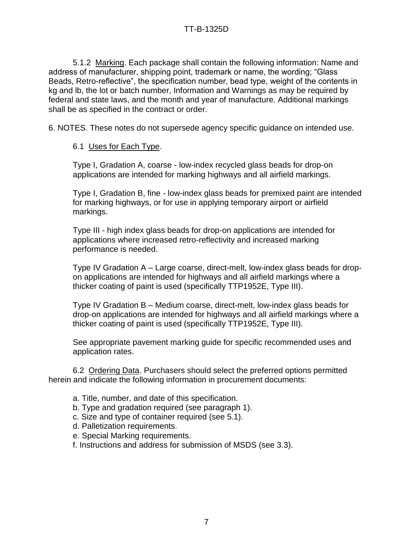5.1.2 Marking. Each package shall contain the following information: Name and address of manufacturer, shipping point, trademark or name, the wording; "Glass Beads, Retro-reflective", the specification number, bead type, weight of the contents in kg and lb, the lot or batch number, Information and Warnings as may be required by federal and state laws, and the month and year of manufacture. Additional markings shall be as specified in the contract or order.

6. NOTES. These notes do not supersede agency specific guidance on intended use.

## 6.1 Uses for Each Type.

Type I, Gradation A, coarse - low-index recycled glass beads for drop-on applications are intended for marking highways and all airfield markings.

Type I, Gradation B, fine - low-index glass beads for premixed paint are intended for marking highways, or for use in applying temporary airport or airfield markings.

Type III - high index glass beads for drop-on applications are intended for applications where increased retro-reflectivity and increased marking performance is needed.

Type IV Gradation A – Large coarse, direct-melt, low-index glass beads for dropon applications are intended for highways and all airfield markings where a thicker coating of paint is used (specifically TTP1952E, Type III).

Type IV Gradation B – Medium coarse, direct-melt, low-index glass beads for drop-on applications are intended for highways and all airfield markings where a thicker coating of paint is used (specifically TTP1952E, Type III).

See appropriate pavement marking guide for specific recommended uses and application rates.

6.2 Ordering Data. Purchasers should select the preferred options permitted herein and indicate the following information in procurement documents:

- a. Title, number, and date of this specification.
- b. Type and gradation required (see paragraph 1).
- c. Size and type of container required (see 5.1).
- d. Palletization requirements.
- e. Special Marking requirements.
- f. Instructions and address for submission of MSDS (see 3.3).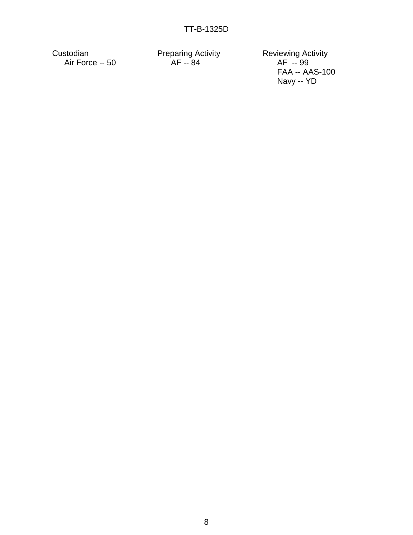Custodian **Preparing Activity** Reviewing Activity Air Force -- 50 AF -- 84 AF -- 99

FAA -- AAS-100 Navy -- YD